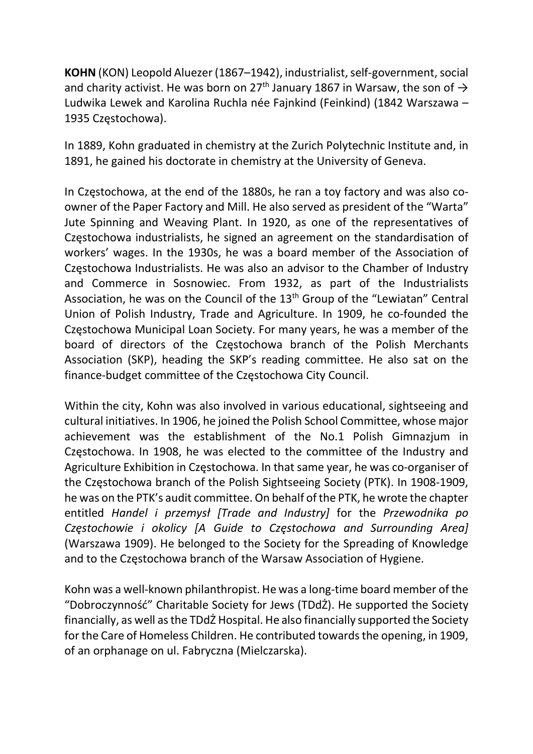KOHN (KON) Leopold Aluezer (1867–1942), industrialist, self-government, social and charity activist. He was born on 27<sup>th</sup> January 1867 in Warsaw, the son of  $\rightarrow$ Ludwika Lewek and Karolina Ruchla née Fajnkind (Feinkind) (1842 Warszawa – 1935 Częstochowa).

In 1889, Kohn graduated in chemistry at the Zurich Polytechnic Institute and, in 1891, he gained his doctorate in chemistry at the University of Geneva.

In Częstochowa, at the end of the 1880s, he ran a toy factory and was also coowner of the Paper Factory and Mill. He also served as president of the "Warta" Jute Spinning and Weaving Plant. In 1920, as one of the representatives of Częstochowa industrialists, he signed an agreement on the standardisation of workers' wages. In the 1930s, he was a board member of the Association of Częstochowa Industrialists. He was also an advisor to the Chamber of Industry and Commerce in Sosnowiec. From 1932, as part of the Industrialists Association, he was on the Council of the 13<sup>th</sup> Group of the "Lewiatan" Central Union of Polish Industry, Trade and Agriculture. In 1909, he co-founded the Częstochowa Municipal Loan Society. For many years, he was a member of the board of directors of the Częstochowa branch of the Polish Merchants Association (SKP), heading the SKP's reading committee. He also sat on the finance-budget committee of the Częstochowa City Council.

Within the city, Kohn was also involved in various educational, sightseeing and cultural initiatives. In 1906, he joined the Polish School Committee, whose major achievement was the establishment of the No.1 Polish Gimnazjum in Częstochowa. In 1908, he was elected to the committee of the Industry and Agriculture Exhibition in Częstochowa. In that same year, he was co-organiser of the Częstochowa branch of the Polish Sightseeing Society (PTK). In 1908-1909, he was on the PTK's audit committee. On behalf of the PTK, he wrote the chapter entitled Handel i przemysł [Trade and Industry] for the Przewodnika po Częstochowie i okolicy [A Guide to Częstochowa and Surrounding Area] (Warszawa 1909). He belonged to the Society for the Spreading of Knowledge and to the Częstochowa branch of the Warsaw Association of Hygiene.

Kohn was a well-known philanthropist. He was a long-time board member of the "Dobroczynność" Charitable Society for Jews (TDdŻ). He supported the Society financially, as well as the TDdŻ Hospital. He also financially supported the Society for the Care of Homeless Children. He contributed towards the opening, in 1909, of an orphanage on ul. Fabryczna (Mielczarska).